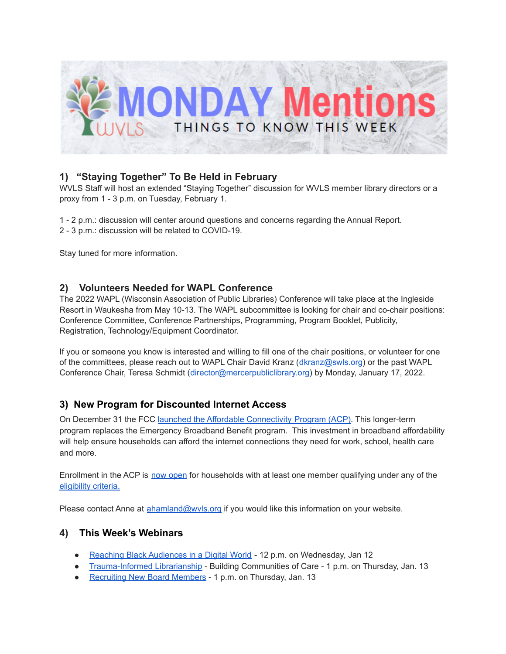

# **1) "Staying Together" To Be Held in February**

WVLS Staff will host an extended "Staying Together" discussion for WVLS member library directors or a proxy from 1 - 3 p.m. on Tuesday, February 1.

1 - 2 p.m.: discussion will center around questions and concerns regarding the Annual Report.

2 - 3 p.m.: discussion will be related to COVID-19.

Stay tuned for more information.

## **2) Volunteers Needed for WAPL Conference**

The 2022 WAPL (Wisconsin Association of Public Libraries) Conference will take place at the Ingleside Resort in Waukesha from May 10-13. The WAPL subcommittee is looking for chair and co-chair positions: Conference Committee, Conference Partnerships, Programming, Program Booklet, Publicity, Registration, Technology/Equipment Coordinator.

If you or someone you know is interested and willing to fill one of the chair positions, or volunteer for one of the committees, please reach out to WAPL Chair David Kranz (dkranz@swls.org) or the past WAPL Conference Chair, Teresa Schmidt (director@mercerpubliclibrary.org) by Monday, January 17, 2022.

## **3) New Program for Discounted Internet Access**

On December 31 the FCC launched the Affordable [Connectivity](https://www.fcc.gov/document/fcc-launches-affordable-connectivity-program) Program (ACP). This longer-term program replaces the Emergency Broadband Benefit program. This investment in broadband affordability will help ensure households can afford the internet connections they need for work, school, health care and more.

Enrollment in the ACP is now [open](https://urldefense.proofpoint.com/v2/url?u=http-3A__www.ACPBenefit.org&d=DwMFAg&c=y0h0omCe0jAUGr4gAQ02Fw&r=BwcJ_YPOlmvrO75wmZz2DZI38R7cluGxcPu4a21Tl14&m=NYybNgbVsi2zkbnmdVjVGkpGs2j0W_H6-v_73UXpIESaBaN87TddtzdTxSXu98WG&s=mMe_ndFxCClzKumzEKjdIIAAhRSnsDCZVqRSGwFfGdY&e=) for households with at least one member qualifying under any of the [eligibility](https://www.fcc.gov/affordable-connectivity-program-consumer-faq) criteria.

Please contact Anne at [ahamland@wvls.org](mailto:ahamland@wvls.org) if you would like this information on your website.

### **4) This Week's Webinars**

- Reaching Black [Audiences](https://nnlm.gov/training/class/reaching-black-audiences-digital-world) in a Digital World 12 p.m. on Wednesday, Jan 12
- [Trauma-Informed](https://nnlm.gov/training/class/trauma-informed-librarianship-building-communities-care) Librarianship Building Communities of Care 1 p.m. on Thursday, Jan. 13
- [Recruiting](https://mblc.libcal.com/event/8391648) New Board Members 1 p.m. on Thursday, Jan. 13